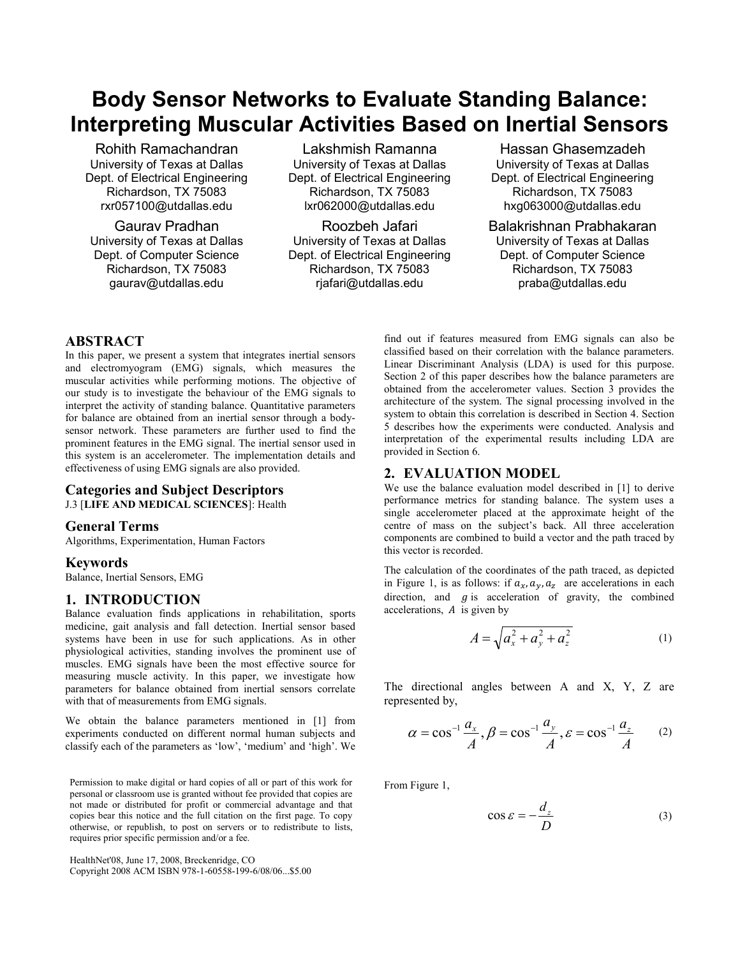# Body Sensor Networks to Evaluate Standing Balance: Interpreting Muscular Activities Based on Inertial Sensors

Rohith Ramachandran University of Texas at Dallas Dept. of Electrical Engineering Richardson, TX 75083 rxr057100@utdallas.edu

Gaurav Pradhan University of Texas at Dallas Dept. of Computer Science Richardson, TX 75083 gaurav@utdallas.edu

Lakshmish Ramanna University of Texas at Dallas Dept. of Electrical Engineering Richardson, TX 75083 lxr062000@utdallas.edu

Roozbeh Jafari University of Texas at Dallas Dept. of Electrical Engineering Richardson, TX 75083 rjafari@utdallas.edu

Hassan Ghasemzadeh University of Texas at Dallas Dept. of Electrical Engineering Richardson, TX 75083 hxg063000@utdallas.edu

Balakrishnan Prabhakaran University of Texas at Dallas Dept. of Computer Science Richardson, TX 75083 praba@utdallas.edu

# ABSTRACT

In this paper, we present a system that integrates inertial sensors and electromyogram (EMG) signals, which measures the muscular activities while performing motions. The objective of our study is to investigate the behaviour of the EMG signals to interpret the activity of standing balance. Quantitative parameters for balance are obtained from an inertial sensor through a bodysensor network. These parameters are further used to find the prominent features in the EMG signal. The inertial sensor used in this system is an accelerometer. The implementation details and effectiveness of using EMG signals are also provided.

## Categories and Subject Descriptors

J.3 [LIFE AND MEDICAL SCIENCES]: Health

# General Terms

Algorithms, Experimentation, Human Factors

#### Keywords

Balance, Inertial Sensors, EMG

## 1. INTRODUCTION

Balance evaluation finds applications in rehabilitation, sports medicine, gait analysis and fall detection. Inertial sensor based systems have been in use for such applications. As in other physiological activities, standing involves the prominent use of muscles. EMG signals have been the most effective source for measuring muscle activity. In this paper, we investigate how parameters for balance obtained from inertial sensors correlate with that of measurements from EMG signals.

We obtain the balance parameters mentioned in [1] from experiments conducted on different normal human subjects and classify each of the parameters as 'low', 'medium' and 'high'. We

Permission to make digital or hard copies of all or part of this work for personal or classroom use is granted without fee provided that copies are not made or distributed for profit or commercial advantage and that copies bear this notice and the full citation on the first page. To copy otherwise, or republish, to post on servers or to redistribute to lists, requires prior specific permission and/or a fee.

HealthNet'08, June 17, 2008, Breckenridge, CO Copyright 2008 ACM ISBN 978-1-60558-199-6/08/06...\$5.00

find out if features measured from EMG signals can also be classified based on their correlation with the balance parameters. Linear Discriminant Analysis (LDA) is used for this purpose. Section 2 of this paper describes how the balance parameters are obtained from the accelerometer values. Section 3 provides the architecture of the system. The signal processing involved in the system to obtain this correlation is described in Section 4. Section 5 describes how the experiments were conducted. Analysis and interpretation of the experimental results including LDA are provided in Section 6.

## 2. EVALUATION MODEL

We use the balance evaluation model described in [1] to derive performance metrics for standing balance. The system uses a single accelerometer placed at the approximate height of the centre of mass on the subject's back. All three acceleration components are combined to build a vector and the path traced by this vector is recorded.

The calculation of the coordinates of the path traced, as depicted in Figure 1, is as follows: if  $a_x$ ,  $a_y$ ,  $a_z$  are accelerations in each direction, and  $g$  is acceleration of gravity, the combined accelerations,  $A$  is given by

$$
A = \sqrt{a_x^2 + a_y^2 + a_z^2}
$$
 (1)

The directional angles between A and X, Y, Z are represented by,

$$
\alpha = \cos^{-1} \frac{a_x}{A}, \beta = \cos^{-1} \frac{a_y}{A}, \varepsilon = \cos^{-1} \frac{a_z}{A} \qquad (2)
$$

From Figure 1,

$$
\cos \varepsilon = -\frac{d_z}{D} \tag{3}
$$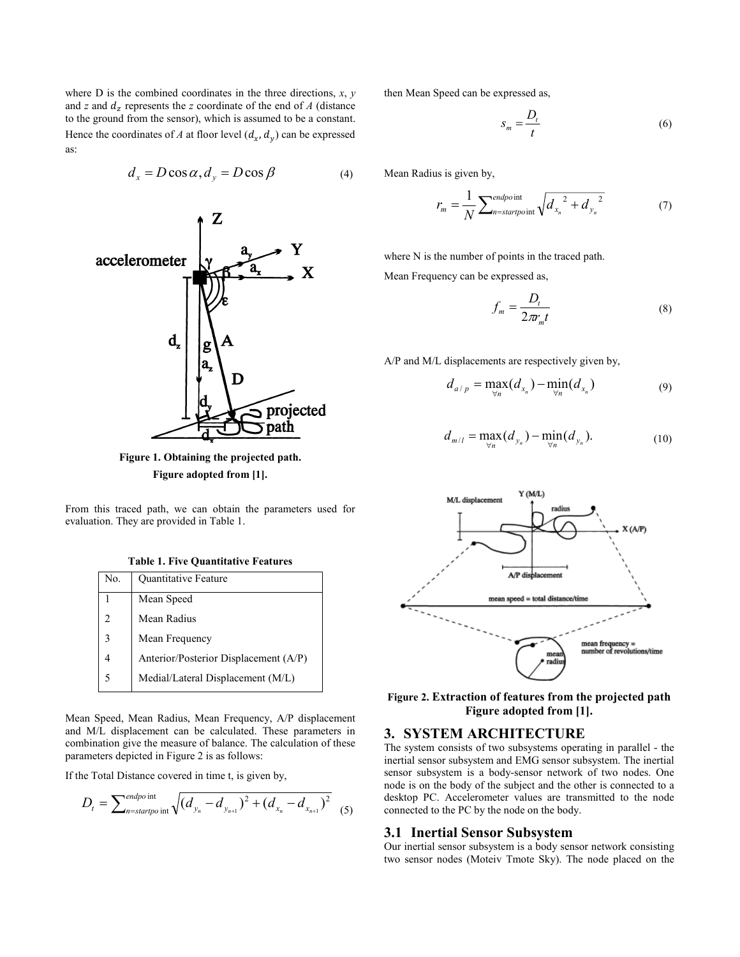where  $D$  is the combined coordinates in the three directions,  $x, y$ and z and  $d_z$  represents the z coordinate of the end of A (distance to the ground from the sensor), which is assumed to be a constant. Hence the coordinates of A at floor level  $(d_x, d_y)$  can be expressed as:

$$
d_x = D\cos\alpha, d_y = D\cos\beta \tag{4}
$$



Figure 1. Obtaining the projected path. Figure adopted from [1].

From this traced path, we can obtain the parameters used for evaluation. They are provided in Table 1.

Table 1. Five Quantitative Features

| No. | Quantitative Feature                  |
|-----|---------------------------------------|
|     | Mean Speed                            |
|     | Mean Radius                           |
| 3   | Mean Frequency                        |
|     | Anterior/Posterior Displacement (A/P) |
|     | Medial/Lateral Displacement (M/L)     |

Mean Speed, Mean Radius, Mean Frequency, A/P displacement and M/L displacement can be calculated. These parameters in combination give the measure of balance. The calculation of these parameters depicted in Figure 2 is as follows:

If the Total Distance covered in time t, is given by,

$$
D_{t} = \sum_{n=startpo \text{ int}}^{endpo \text{ int}} \sqrt{(d_{y_{n}} - d_{y_{n+1}})^{2} + (d_{x_{n}} - d_{x_{n+1}})^{2}}
$$
 (5)

then Mean Speed can be expressed as,

$$
S_m = \frac{D_t}{t} \tag{6}
$$

Mean Radius is given by,

$$
r_m = \frac{1}{N} \sum_{n=start point}^{endpoint} \sqrt{d_{x_n}^2 + d_{y_n}^2}
$$
 (7)

where N is the number of points in the traced path. Mean Frequency can be expressed as,

$$
f_m = \frac{D_t}{2\pi r_m t}
$$
 (8)

A/P and M/L displacements are respectively given by,

$$
d_{a/p} = \max_{\forall n} (d_{x_n}) - \min_{\forall n} (d_{x_n})
$$
\n(9)

$$
d_{m/l} = \max_{\forall n} (d_{y_n}) - \min_{\forall n} (d_{y_n}).
$$
 (10)



Figure 2. Extraction of features from the projected path Figure adopted from [1].

## 3. SYSTEM ARCHITECTURE

The system consists of two subsystems operating in parallel - the inertial sensor subsystem and EMG sensor subsystem. The inertial sensor subsystem is a body-sensor network of two nodes. One node is on the body of the subject and the other is connected to a desktop PC. Accelerometer values are transmitted to the node connected to the PC by the node on the body.

#### 3.1 Inertial Sensor Subsystem

Our inertial sensor subsystem is a body sensor network consisting two sensor nodes (Moteiv Tmote Sky). The node placed on the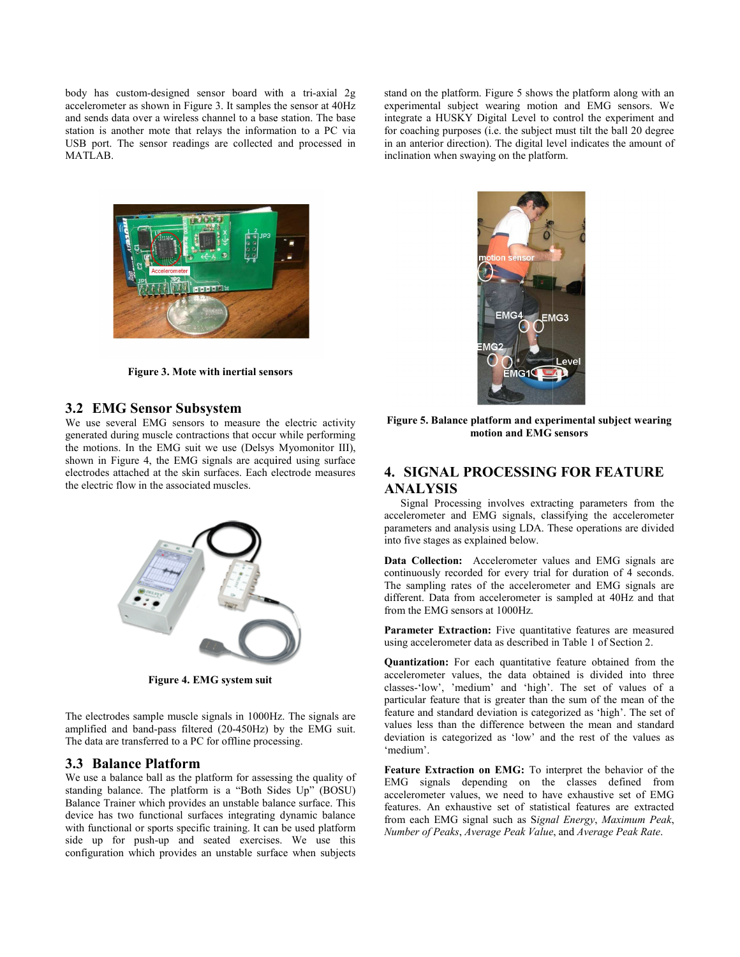body has custom-designed sensor board with a tri-axial 2g accelerometer as shown in Figure 3. It samples the sensor at 40Hz and sends data over a wireless channel to a base station. The base station is another mote that relays the information to a PC via USB port. The sensor readings are collected and processed in MATLAB.

stand on the platform. Figure 5 shows the platform along with an experimental subject wearing motion and EMG sensors. We integrate a HUSKY Digital Level to control the experiment and for coaching purposes (i.e. the subject must tilt the ball 20 degree in an anterior direction). The digital level indicates the amount of inclination when swaying on the platform. Explatform. Figure 5 shows the platform<br>al subject wearing motion and EMG<br>HUSKY Digital Level to control the e<br>g purposes (i.e. the subject must tilt the<br>or direction). The digital level indicates



Figure 3. Mote with inertial sensors

#### 3.2 EMG Sensor Subsystem

We use several EMG sensors to measure the electric activity generated during muscle contractions that occur while performing performing the motions. In the EMG suit we use (Delsys Myomonitor III), shown in Figure 4, the EMG signals are acquired using surface electrodes attached at the skin surfaces. Each electrode measures electrode measures the electric flow in the associated muscles.



Figure 4. EMG system suit

The electrodes sample muscle signals in 1000Hz. The signals are amplified and band-pass filtered (20-450Hz) by the EMG suit. The data are transferred to a PC for offline processing. The data are transferred to a PC for offline processing.<br> **3.3 Balance Platform**<br>
We use a balance ball as the platform for assessing the quality of

## 3.3 Balance Platform

standing balance. The platform is a "Both Sides Up" (BOSU) (BOSU) Balance Trainer which provides an unstable balance surface. This device has two functional surfaces integrating dynamic balance with functional or sports specific training. It can be used platform side up for push-up and seated exercises. We use this configuration which provides an unstable surface when subjects



Figure 5. Balance platform and experimental subject wearing motion and EMG sensors

# 4. SIGNAL PROCESSING FOR FEATURE FEATURE ANALYSIS

 Signal Processing involves extracting parameter Signal Processing involves parameters from the accelerometer and EMG signals, classifying the accelerometer parameters and analysis using LDA. These operations are divided into five stages as explained below.

Data Collection: Accelerometer values and EMG signals are continuously recorded for every trial for duration of 4 seconds. The sampling rates of the accelerometer and EMG signals are different. Data from accelerometer is sampled at 40Hz and that from the EMG sensors at 1000Hz. accelerometer and EMG signals, classifying the accelerometer<br>parameters and analysis using LDA. These operations are divided<br>into five stages as explained below.<br>**Data Collection:** Accelerometer values and EMG signals are<br>

Parameter Extraction: Five quantitative features are measured using accelerometer data as described in Table 1 of Section 2. using accelerometer data as described in Table 1 of Section 2.<br>**Quantization:** For each quantitative feature obtained from the

accelerometer values, the data obtained is divided into three classes-'low', 'medium' and 'high'. The set of values of a particular feature that is greater than the sum of the mean of the feature and standard deviation is categorized as 'high'. The set of values less than the difference between the mean and standard deviation is categorized as 'low' and the rest of the values as 'medium'. ometer values, the data obtained is divided into three -'low', 'medium' and 'high'. The set of values of a lar feature that is greater than the sum of the mean of the and standard deviation is categorized as 'high'. The se

Feature Extraction on EMG: To interpret the behavior of the EMG signals depending on the classes defined from accelerometer values, we need to have exhaustive set of EMG features. An exhaustive set of statistical from each EMG signal such as Signal Energy, Maximum Peak, Number of Peaks, Average Peak Value, and Average Peak Rate. ed as 'low' and the rest of the values as<br> **on EMG:** To interpret the behavior of the<br>
inding on the classes defined from<br>
we need to have exhaustive set of EMG<br>
ve set of statistical features are extracted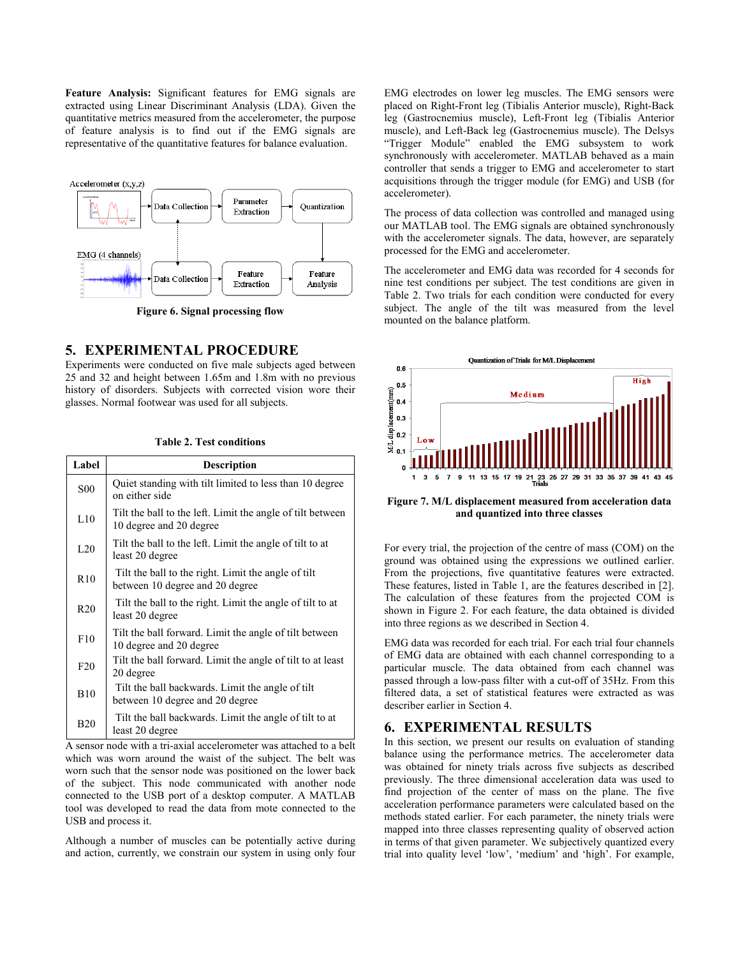Feature Analysis: Significant features for EMG signals are extracted using Linear Discriminant Analysis (LDA). Given the quantitative metrics measured from the accelerometer, the purpose of feature analysis is to find out if the EMG signals are representative of the quantitative features for balance evaluation.



Figure 6. Signal processing flow .

# 5. EXPERIMENTAL PROCEDURE

Experiments were conducted on five male subjects aged between 25 and 32 and height between 1.65m and 1.8m m with no previous history of disorders. Subjects with corrected vision wore their glasses. Normal footwear was used for all subjects.

| Label                                                               | <b>Description</b>                                                                     |  |
|---------------------------------------------------------------------|----------------------------------------------------------------------------------------|--|
| <b>S00</b>                                                          | Quiet standing with tilt limited to less than 10 degree<br>on either side              |  |
| L10                                                                 | Tilt the ball to the left. Limit the angle of tilt between<br>10 degree and 20 degree  |  |
| L20                                                                 | Tilt the ball to the left. Limit the angle of tilt to at<br>least 20 degree            |  |
| R <sub>10</sub>                                                     | Tilt the ball to the right. Limit the angle of tilt<br>between 10 degree and 20 degree |  |
| R20                                                                 | Tilt the ball to the right. Limit the angle of tilt to at<br>least 20 degree           |  |
| F10                                                                 | Tilt the ball forward. Limit the angle of tilt between<br>10 degree and 20 degree      |  |
| F20                                                                 | Tilt the ball forward. Limit the angle of tilt to at least<br>20 degree                |  |
| <b>B10</b>                                                          | Tilt the ball backwards. Limit the angle of tilt<br>between 10 degree and 20 degree    |  |
| <b>B20</b>                                                          | Tilt the ball backwards. Limit the angle of tilt to at<br>least 20 degree              |  |
| A sensor node with a tri-axial accelerometer was attached to a belt |                                                                                        |  |

A sensor node with a tri-axial accelerometer was attached to a belt which was worn around the waist of the subject. The belt was worn such that the sensor node was positioned on the lower back of the subject. This node communicated with another node connected to the USB port of a desktop computer. A MATLAB tool was developed to read the data from mote connected to the USB and process it.

Although a number of muscles can be potentially active during and action, currently, we constrain our system in using only four

EMG electrodes on lower leg muscles. The EMG sensors were EMG electrodes on lower leg muscles. The EMG sensors were placed on Right-Front leg (Tibialis Anterior muscle), Right-Back leg (Gastrocnemius muscle), Left-Front leg (Tibialis Anterior muscle), and Left-Back leg (Gastrocnemius muscle). The Delsys "Trigger Module" enabled the EMG subsystem to work synchronously with accelerometer. MATLAB behaved as a main controller that sends a trigger to EMG and accelerometer to start acquisitions through the trigger module (for EMG) and USB (for accelerometer). from EMG (Tibialis Anterior and Left-Back leg (Gastrocnemius muscle). The Delsys Module" enabled the EMG subsystem to work ously with accelerometer. MATLAB behaved as a main r that sends a trigger to EMG and accelerometer

The process of data collection was controlled and managed using our MATLAB tool. The EMG signals are obtained synchronously with the accelerometer signals. The data, however, are separately processed for the EMG and accelerometer.

The accelerometer and EMG data was recorded for 4 seconds for nine test conditions per subject. The test conditions are given in Table 2. Two trials for each condition were conducted for every Table 2. Two trials for each condition were conducted for every subject. The angle of the tilt was measured from the level mounted on the balance platform.



Figure 7. M/L displacement measured from acceleration data<br>and quantized into three classes and quantized into three classes

For every trial, the projection of the centre of mass (COM) on the For every trial, the projection of the centre of mass (COM) on the ground was obtained using the expressions we outlined earlier. From the projections, five quantitative quantitative features were extracted. These features, listed in Table 1, are the features described in [2]. The calculation of these features from the projected COM is shown in Figure 2. For each feature, the data obtained is divided into three regions as we described in Section 4.

EMG data was recorded for each trial. For each trial four channels of EMG data are obtained with each channel corresponding to a particular muscle. The data obtained from each channel was passed through a low-pass filter with a cut-off of 35Hz. From this filtered data, a set of statistical features were extracted as was describer earlier in Section 4. i in Figure 2. For each feature, the data obtained is divided<br>ree regions as we described in Section 4.<br>data was recorded for each trial. For each trial four channels<br>IG data are obtained with each channel corresponding to

# 6. EXPERIMENTAL RESULTS

In this section, we present our results on evaluation of standing balance using the performance metrics. The accelerometer data was obtained for ninety trials across five subjects as described previously. The three dimensional acceleration data was used to find projection of the center of mass on the plane. The five acceleration performance parameters were calculated based on the methods stated earlier. For each parameter, the ninety trials were mapped into three classes representing quality of observed action in terms of that given parameter. We subjectively quantized every trial into quality level 'low', 'medium' and 'high'. For example, iered data, a set of statistical features were extracted as was scriber earlier in Section 4.<br> **EXPERIMENTAL RESULTS**<br>
this section, we present our results on evaluation of standing<br>
lance using the performance metrics. Th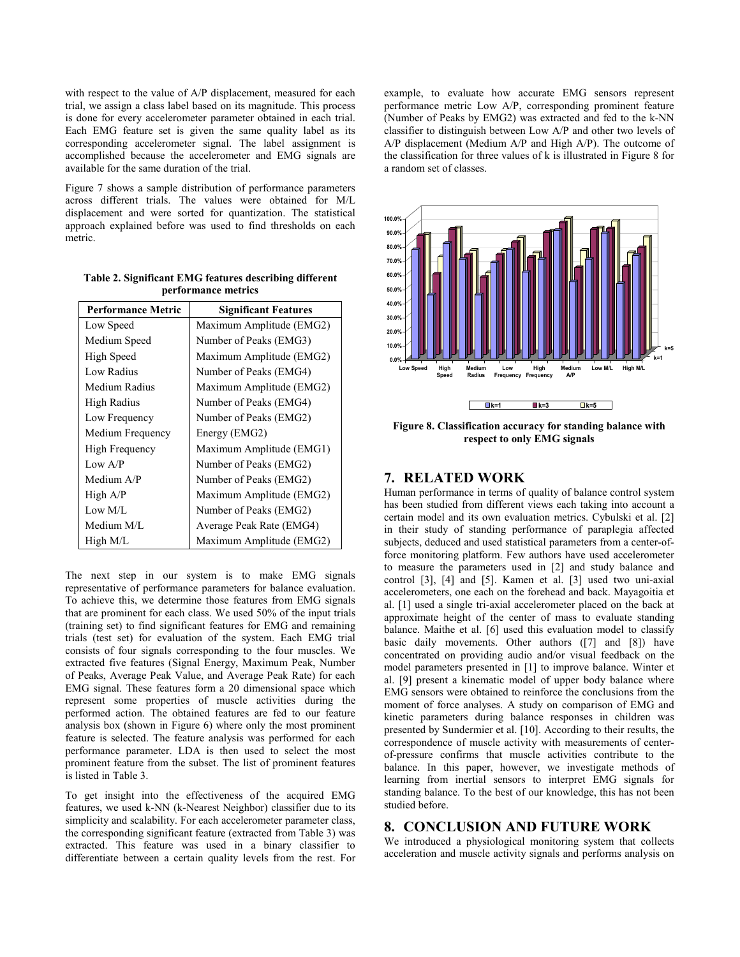with respect to the value of A/P displacement, measured for each trial, we assign a class label based on its magnitude. This process is done for every accelerometer parameter obtained in each trial. Each EMG feature set is given the same quality label as its corresponding accelerometer signal. The label assignment is accomplished because the accelerometer and EMG signals are available for the same duration of the trial.

Figure 7 shows a sample distribution of performance parameters across different trials. The values were obtained for M/L displacement and were sorted for quantization. The statistical approach explained before was used to find thresholds on each metric.

| <b>Performance Metric</b> | <b>Significant Features</b> |
|---------------------------|-----------------------------|
| Low Speed                 | Maximum Amplitude (EMG2)    |
| Medium Speed              | Number of Peaks (EMG3)      |
| High Speed                | Maximum Amplitude (EMG2)    |
| Low Radius                | Number of Peaks (EMG4)      |
| Medium Radius             | Maximum Amplitude (EMG2)    |
| <b>High Radius</b>        | Number of Peaks (EMG4)      |
| Low Frequency             | Number of Peaks (EMG2)      |
| Medium Frequency          | Energy (EMG2)               |
| <b>High Frequency</b>     | Maximum Amplitude (EMG1)    |
| Low AP                    | Number of Peaks (EMG2)      |
| Medium A/P                | Number of Peaks (EMG2)      |
| High A/P                  | Maximum Amplitude (EMG2)    |
| Low M/L                   | Number of Peaks (EMG2)      |
| Medium M/L                | Average Peak Rate (EMG4)    |
| High M/L                  | Maximum Amplitude (EMG2)    |

Table 2. Significant EMG features describing different performance metrics

The next step in our system is to make EMG signals representative of performance parameters for balance evaluation. To achieve this, we determine those features from EMG signals that are prominent for each class. We used 50% of the input trials (training set) to find significant features for EMG and remaining trials (test set) for evaluation of the system. Each EMG trial consists of four signals corresponding to the four muscles. We extracted five features (Signal Energy, Maximum Peak, Number of Peaks, Average Peak Value, and Average Peak Rate) for each EMG signal. These features form a 20 dimensional space which represent some properties of muscle activities during the performed action. The obtained features are fed to our feature analysis box (shown in Figure 6) where only the most prominent feature is selected. The feature analysis was performed for each performance parameter. LDA is then used to select the most prominent feature from the subset. The list of prominent features is listed in Table 3.

To get insight into the effectiveness of the acquired EMG features, we used k-NN (k-Nearest Neighbor) classifier due to its simplicity and scalability. For each accelerometer parameter class, the corresponding significant feature (extracted from Table 3) was extracted. This feature was used in a binary classifier to differentiate between a certain quality levels from the rest. For

example, to evaluate how accurate EMG sensors represent performance metric Low A/P, corresponding prominent feature (Number of Peaks by EMG2) was extracted and fed to the k-NN classifier to distinguish between Low A/P and other two levels of A/P displacement (Medium A/P and High A/P). The outcome of the classification for three values of k is illustrated in Figure 8 for a random set of classes.



Figure 8. Classification accuracy for standing balance with respect to only EMG signals

# 7. RELATED WORK

Human performance in terms of quality of balance control system has been studied from different views each taking into account a certain model and its own evaluation metrics. Cybulski et al. [2] in their study of standing performance of paraplegia affected subjects, deduced and used statistical parameters from a center-offorce monitoring platform. Few authors have used accelerometer to measure the parameters used in [2] and study balance and control [3], [4] and [5]. Kamen et al. [3] used two uni-axial accelerometers, one each on the forehead and back. Mayagoitia et al. [1] used a single tri-axial accelerometer placed on the back at approximate height of the center of mass to evaluate standing balance. Maithe et al. [6] used this evaluation model to classify basic daily movements. Other authors ([7] and [8]) have concentrated on providing audio and/or visual feedback on the model parameters presented in [1] to improve balance. Winter et al. [9] present a kinematic model of upper body balance where EMG sensors were obtained to reinforce the conclusions from the moment of force analyses. A study on comparison of EMG and kinetic parameters during balance responses in children was presented by Sundermier et al. [10]. According to their results, the correspondence of muscle activity with measurements of centerof-pressure confirms that muscle activities contribute to the balance. In this paper, however, we investigate methods of learning from inertial sensors to interpret EMG signals for standing balance. To the best of our knowledge, this has not been studied before.

# 8. CONCLUSION AND FUTURE WORK

We introduced a physiological monitoring system that collects acceleration and muscle activity signals and performs analysis on